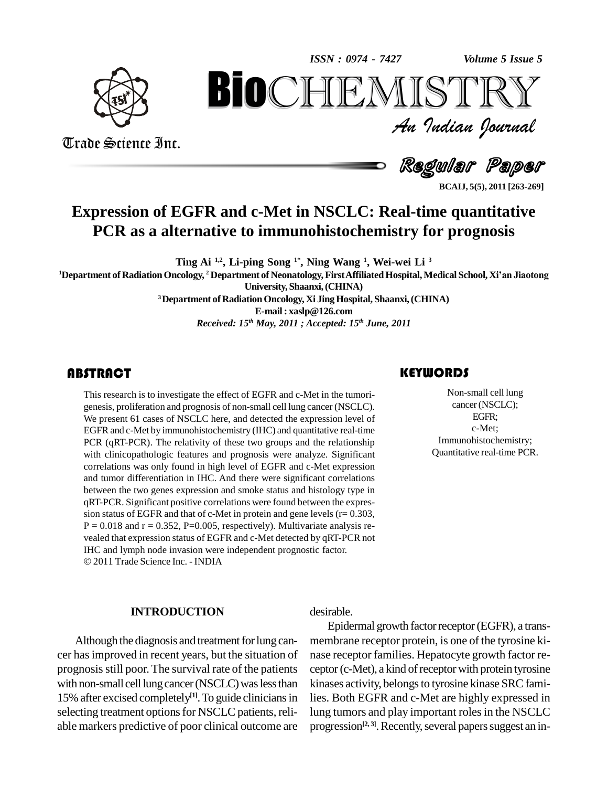*Volume 5 Issue 5*



Trade Science Inc.

Trade Science Inc.

An Indian Journal<br>Regul**ar Pa**per *Volume 5 Issue 5*<br> $\sum \mathbb{R} \mathbb{Y}$ <br>*Indian Ocurval* **BioCHEMISTRY**<br>Au Indian Journal<br>Regular Paper<br>Rand c-Met in NSCLC: Real-time quantitative<br>ative to immunohistochemistry for prognosis

**BCAIJ, 5(5), 2011 [263-269]**

# **Expression of EGFR and c-Met in NSCLC: Real-time quantitative PCR as a alternative to immunohistochemistry for prognosis**

**Ting Ai 1,2 , Li-ping Song 1\* , Ning Wang 1 , Wei-wei Li <sup>3</sup>**

**<sup>1</sup>Department of RadiationOncology, <sup>2</sup> Department of Neonatology,FirstAffiliatedHospital,Medical School, Xiían Jiaotong**

**University, Shaanxi,(CHINA)**

**<sup>3</sup>Department of RadiationOncology, Xi JingHospital, Shaanxi,(CHINA) E-mail: [xaslp@126.com](mailto:xaslp@126.com)**

*Received: 15 th May, 2011 ; Accepted: 15 th June, 2011*

# **ABSTRACT**

This research is to investigate the effect of EGFR and c-Met in the tumori-<br>genesis, proliferation and prognosis of non-small cell lung cancer (NSCLC).<br>We present 61 cases of NSCLC here, and detected the expression level o This research is to investigate the effect of EGFR and c-Met in the tumori genesis, proliferation and prognosis of non-small cell lung cancer (NSCLC). EGFR and c-Met by immunohistochemistry (IHC) and quantitative real-time PCR (qRT-PCR). The relativity of these two groups and the relationship with clinicopathologic features and prognosis were analyze. Significant correlations was only found in high level of EGFR and c-Met expression and tumor differentiation in IHC. And there were significant correlations between the two genes expression and smoke status and histology type in qRT-PCR. Significant positive correlations were found between the expres sion status of EGFR and that of c-Met in protein and gene levels  $(r= 0.303, r= 0.303)$  $P = 0.018$  and  $r = 0.352$ ,  $P = 0.005$ , respectively). Multivariate analysis revealed that expression status of EGFR and c-Met detected by qRT-PCR not IHC and lymph node invasion were independent prognostic factor. © 2011 Trade Science Inc. - INDIA

#### **INTRODUCTION**

Although the diagnosis and treatment for lung cancer hasimproved in recent years, but the situation of prognosisstill poor. The survival rate of the patients with non-small cell lung cancer (NSCLC) was less than 15% after excised completely<sup>[1]</sup>. To guide clinicians in lies. Bo selecting treatment options for NSCLC patients, reliable markers predictive of poor clinical outcome are

# desirable.

Epidermal growth factor receptor (EGFR), a transmembrane receptor protein, is one of the tyrosine ki nase receptor families. Hepatocyte growth factor re ceptor (c-Met), a kind of receptor with protein tyrosine kinases activity, belongs to tyrosine kinase SRC families. Both EGFR and c-Met are highly expressed in lung tumors and play important roles in the NSCLC progression<sup>[2, 3]</sup>. Recently, several papers suggest an in-

## **KEYWORDS**

Non-small cell lu<br>cancer (NSCLC<br>EGFR; Non-small cell lung cancer(NSCLC); EGFR; c-Met; Immunohistochemistry; Quantitative real-time PCR.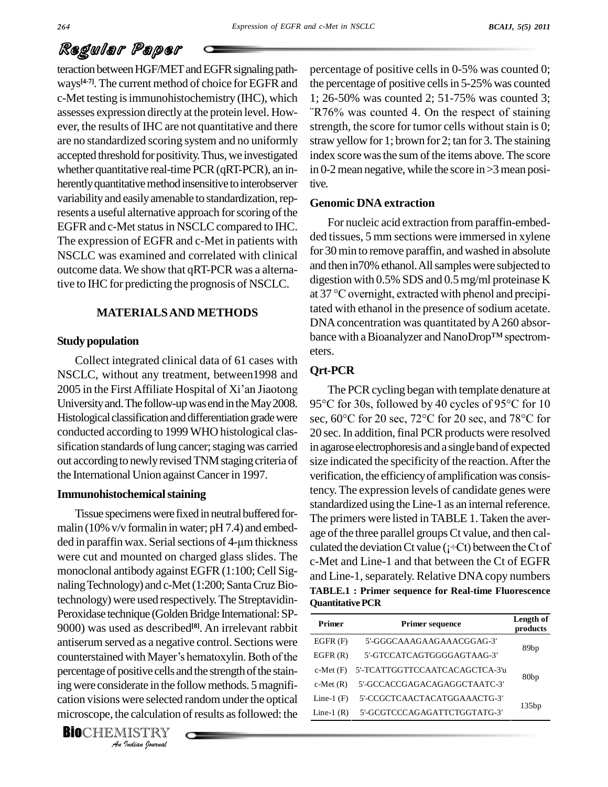# Regular Paper

teraction between HGF/MET and EGFR signaling pathways<sup>[4-7]</sup>. The current method of choice for EGFR and the perc-Met testing isimmunohistochemistry (IHC), which assesses expression directly at the protein level. How- "R76% was counted 4. On the respect of staining ever, the results of IHC are not quantitative and there are no standardized scoring system and no uniformly accepted threshold for positivity. Thus, we investigated whether quantitative real-time PCR (qRT-PCR), an in-<br>herently quantitative method insensitive to interobserver variability and easily amenable to standardization, represents a useful alternative approach for scoring of the EGFR and c-Met status in NSCLC compared to IHC. The expression of EGFR and c-Met in patients with NSCLC was examined and correlated with clinical outcome data.We show that qRT-PCR was a alterna-

# **MATERIALSAND METHODS**

## **Study population**

Collect integrated clinical data of 61 cases with NSCLC, without any treatment, between1998 and 2005 in the First Affiliate Hospital of Xi'an Jiaotong University and. The follow-up was end in the May 2008. Histological classification and differentiation grade were sec,  $60^{\circ}$ C for 20 sec,  $72^{\circ}$ C for 20 sec, and  $78^{\circ}$ C for conducted according to 1999 WHO histological clas sification standards of lung cancer; staging was carried out according to newly revised TNM staging criteria of the International Union againstCancerin 1997.

## **Immunohistochemical staining**

counterstained with Mayer's hematoxylin. Both of the *Indian*<br>*Indian*<br>*Indian*<br>*IISTRY*<br>*Indian Iournal* Tissue specimens were fixed in neutral buffered formalin (10% v/v formalin in water; pH 7.4) and embed-Tissue specimens were fixed in neutral buffered for-<br>malin (10% v/v formalin in water; pH 7.4) and embed-<br>ded in paraffin wax. Serial sections of 4-µm thickness were cut and mounted on charged glass slides. The monoclonal antibody against EGFR (1:100; Cell Signaling Technology) and c-Met (1:200; Santa Cruz Biotechnology) were used respectively.The Streptavidin- Peroxidase technique (Golden Bridge International: SP-9000) was used as described<sup>[8]</sup>. An irrelevant rabbit \_\_ antiserum served as a negative control. Sections were 9000) was used as described<sup>[8]</sup>. An irrelevant rabbit  $\frac{Prim}{EGFR}$  antiserum served as a negative control. Sections were counterstained with Mayer's hematoxylin. Both of the percentage of positive cells and the strength of the staining were considerate in the follow methods. 5 magnification visions were selected random under the optical microscope, the calculation of results as followed: the

**BIO**CHEMISTRY

percentage of positive cells in 0-5% was counted 0; the percentage of positive cells in 5-25% was counted the percentage of positive cells in 5-25% was counted<br>1; 26-50% was counted 2; 51-75% was counted 3;<br>"R76% was counted 4. On the respect of staining strength, the score for tumor cells without stain is 0; straw yellow for 1; brown for 2; tan for 3.The staining index score was the sum of the items above. The score in 0-2 mean negative, while the score in  $>3$  mean positive.

## **Genomic DNA extraction**

tive to IHC for predicting the prognosis of NSCLC. digestion with 0.5% SDS and 0.5 mg/ml proteinase K<br>at 37 °C overnight, extracted with phenol and precipi-For nucleic acid extraction from paraffin-embed ded tissues, 5 mm sections were immersed in xylene for 30min to remove paraffin, andwashed in absolute and then in70% ethanol. All samples were subjected to<br>digestion with 0.5% SDS and 0.5 mg/ml proteinase K<br>at 37 °C overnight, extracted with phenol and precipidigestion with 0.5% SDS and 0.5mg/ml proteinase K tated with ethanol in the presence of sodium acetate. DNAconcentration was quantitated byA260 absor tated with ethanol in the presence of sodium acetate.<br>DNA concentration was quantitated by A 260 absorbance with a Bioanalyzer and NanoDrop™ spectrometers.

# **Qrt-PCR**

The PCR cycling began with template denature at **Qrt-PCK**<br>The PCR cycling began with template denature at<br>95°C for 30s, followed by 40 cycles of 95°C for 10 The PCR cycling began with template denature at 95°C for 30s, followed by 40 cycles of 95°C for 10 sec, 60°C for 20 sec, 72°C for 20 sec, and 78°C for 20 sec. In addition, final PCR products were resolved in agarose electrophoresis and a single band of expected size indicated the specificity of the reaction. After the verification, the efficiency of amplification was consistency.The expression levels of candidate genes were standardized using the Line-1 as an internal reference. The primers were listed in TABLE 1. Taken the average of the three parallel groups Ct value, and then calculated the deviation Ct value ( $\vec{i}$  -Ct) between the Ct of c-Met and Line-1 and that between the Ct of EGFR and Line-1, separately. Relative DNA copy numbers **TABLE.1 : Primer sequence for Real-time Fluorescence QuantitativePCR**

| <b>Primer</b>  | <b>Primer sequence</b>         | Length of<br>products |  |  |
|----------------|--------------------------------|-----------------------|--|--|
| EGFR(F)        | 5'-GGGCAAAGAAGAAACGGAG-3'      |                       |  |  |
| EGFR(R)        | 5'-GTCCATCAGTGGGGAGTAAG-3'     | 89 <sub>bp</sub>      |  |  |
| $c$ -Met $(F)$ | 5'-TCATTGGTTCCAATCACAGCTCA-3'u | 80 <sub>bp</sub>      |  |  |
| $c$ -Met $(R)$ | 5'-GCCACCGAGACAGAGGCTAATC-3'   |                       |  |  |
| Line-1 $(F)$   | 5'-CCGCTCAACTACATGGAAACTG-3'   |                       |  |  |
| Line-1 $(R)$   | 5'-GCGTCCCAGAGATTCTGGTATG-3'   | 135bp                 |  |  |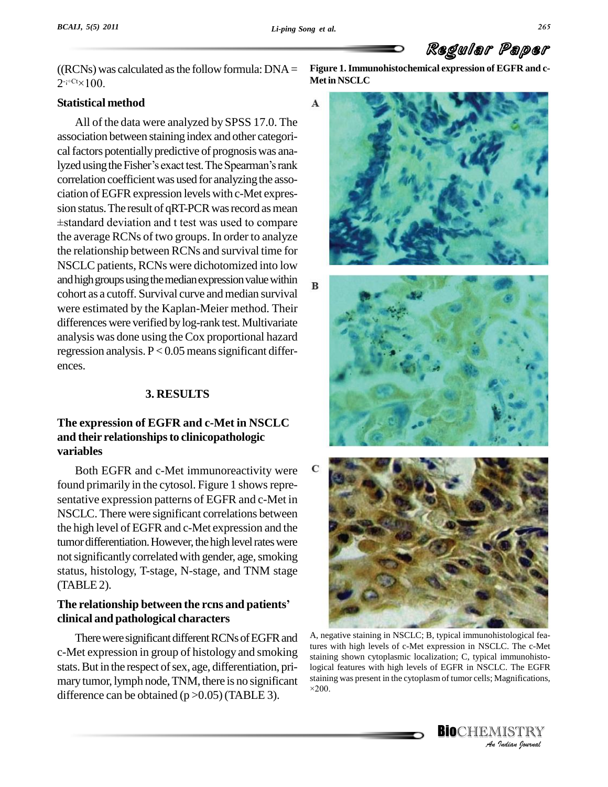$\mathbf{A}$ 

# Regular Paper

((RCNs) was calculated as the follow formula:  $DNA =$  Figure 1.  $2^{-i+Ct} \times 100$ .  $RCNs)$  w

#### **Statistical method**

All of the data were analyzed by SPSS 17.0. The association between staining index and other categori-<br>cal factors potentially predictive of prognosis was ana-<br>lyzed using the Fisher's exact test. The Spearman's rank cal factors potentially predictive of prognosis was anacorrelation coefficient was used for analyzing the association of EGFR expression levels with c-Met expression status. The result of qRT-PCR was record as mean GFR expression levels with c-Met expres-<br>The result of qRT-PCR was record as mean<br>deviation and t test was used to compare the average RCNs of two groups. In order to analyze the relationship between RCNs and survival time for NSCLC patients, RCNs were dichotomized into low and high groups using the median expression value within  $B$ cohort as a cutoff. Survival curve andmedian survival were estimated by the Kaplan-Meier method. Their differences were verified by log-rank test. Multivariate analysis was done using theCox proportional hazard regression analysis.  $P < 0.05$  means significant differences.

#### **3. RESULTS**

# **The expression of EGFR and c-Met in NSCLC and their relationshipsto clinicopathologic variables**

Both EGFR and c-Met immunoreactivity were C found primarily in the cytosol. Figure 1 shows representative expression patterns of EGFR and c-Met in NSCLC. There were significant correlations between the high level of EGFR and c-Met expression and the tumor differentiation. However, the high level rates were not significantly correlated with gender, age, smoking status, histology, T-stage, N-stage, and TNM stage (TABLE2).

# **The relationship between the rcns and patients<sup>í</sup> clinical and pathological characters**

There were significant different RCNs of EGFR and c-Met expression in group of histology and smoking stats. But in the respect of sex, age, differentiation, primary tumor, lymph node, TNM, there is no significant staining was present in the cytoplasm of tumor cells; Magnifications, difference can be obtained  $(p > 0.05)$  (TABLE 3).

**Figure 1.Immunohistochemical expression of EGFR and c- Metin NSCLC**







*Anstaining shown cytoplasmic localization; C, typical immunohisto-Immunonisto-*<br>*C.* The EGFR<br>Magnifications,<br>IISTRY<br>Indian Iournal A, negative staining in NSCLC; B, typical immunohistological features with high levels of c-Met expression in NSCLC. The c-Met logical features with high levels of EGFR in NSCLC. The EGFR<br>staining was present in the cytoplasm of tumor cells; Magnifications,

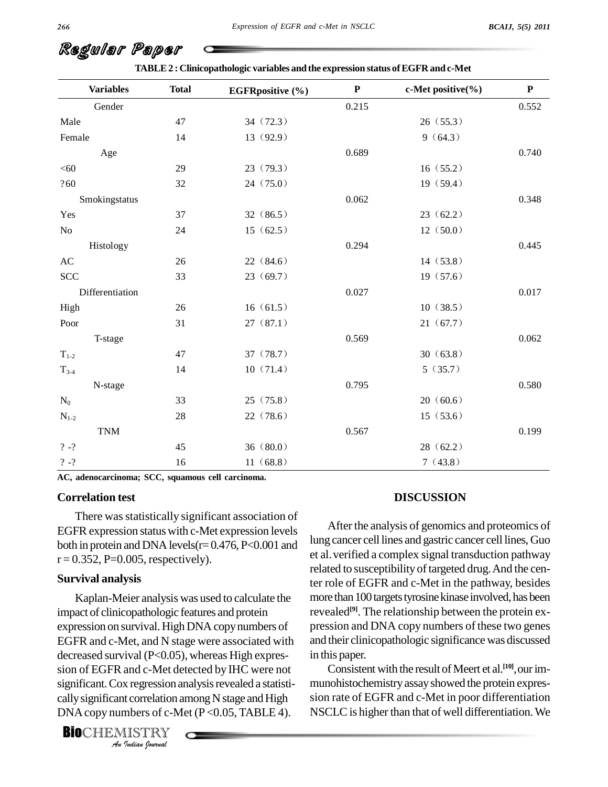| <b>Variables</b> | <b>Total</b> | <b>EGFRpositive</b> (%) | ${\bf P}$ | c-Met positive(%) | $\mathbf P$ |
|------------------|--------------|-------------------------|-----------|-------------------|-------------|
| Gender           |              |                         | 0.215     |                   | 0.552       |
| Male             | 47           | 34 (72.3)               |           | 26(55.3)          |             |
| Female           | 14           | 13 (92.9)               |           | 9(64.3)           |             |
| Age              |              |                         | 0.689     |                   | 0.740       |
| < 60             | 29           | 23 (79.3)               |           | 16(55.2)          |             |
| ?60              | 32           | 24(75.0)                |           | 19(59.4)          |             |
| Smokingstatus    |              |                         | 0.062     |                   | 0.348       |
| Yes              | 37           | 32(86.5)                |           | 23(62.2)          |             |
| No               | 24           | 15(62.5)                |           | 12(50.0)          |             |
| Histology        |              |                         | 0.294     |                   | 0.445       |
| AC               | 26           | 22(84.6)                |           | 14(53.8)          |             |
| <b>SCC</b>       | 33           | 23(69.7)                |           | 19(57.6)          |             |
| Differentiation  |              |                         | 0.027     |                   | 0.017       |
| High             | 26           | 16(61.5)                |           | 10(38.5)          |             |
| Poor             | 31           | 27(87.1)                |           | 21(67.7)          |             |
| T-stage          |              |                         | 0.569     |                   | 0.062       |
| $T_{1-2}$        | 47           | 37 (78.7)               |           | 30(63.8)          |             |
| $T_{3-4}$        | 14           | 10(71.4)                |           | 5(35.7)           |             |
| N-stage          |              |                         | 0.795     |                   | 0.580       |
| $N_0$            | 33           | 25(75.8)                |           | 20(60.6)          |             |
| $N_{1-2}$        | 28           | 22(78.6)                |           | 15(53.6)          |             |
| <b>TNM</b>       |              |                         | 0.567     |                   | 0.199       |
| $? - ?$          | 45           | 36(80.0)                |           | 28(62.2)          |             |
| $? - ?$          | 16           | 11(68.8)                |           | 7(43.8)           |             |

**TABLE2 : Clinicopathologic variables and the expression status ofEGFR and c-Met**

**AC, adenocarcinoma; SCC, squamous cell carcinoma.**

#### **Correlation test**

There was statistically significant association of EGFRexpression statuswith c-Met expression levels both in protein and DNA levels( $r=0.476$ , P<0.001 and  $r = 0.352$ , P=0.005, respectively).

#### **Survival analysis**

decreased survival (P<0.05), whereas High expres-<br>in *I*van (1 < 0.05<br>and c-Met dex regression *a*<br>*I* torrelation a<br>mbers of c-M<br>*I*ISTRY Kaplan-Meier analysis was used to calculate the impact of clinicopathologic features and protein expression on survival.High DNA copynumbers of EGFR and c-Met, and N stage were associated with sion of EGFR and c-Met detected by IHC were not significant. Cox regression analysis revealed a statistically significant correlation among N stage and High sion DNA copy numbers of c-Met  $(P<0.05, TABLE 4)$ .



## **DISCUSSION**

After the analysis of genomics and proteomics of lung cancer celllines and gastric cancer cell lines, Guo et al.verified a complex signal transduction pathway related to susceptibility of targeted drug. And the center role of EGFR and c-Met in the pathway, besides more than 100 targets tyrosine kinase involved, has been revealed **[9]**. The relationship between the protein ex pression and DNA copy numbers of these two genes and their clinicopathologic significance was discussed in this paper.

Consistent with the result of Meert et al.<sup>[10]</sup>, our immunohistochemistry assay showed the protein expression rate of EGFR and c-Met in poor differentiation NSCLC is higher than that of well differentiation. We

Regular Paper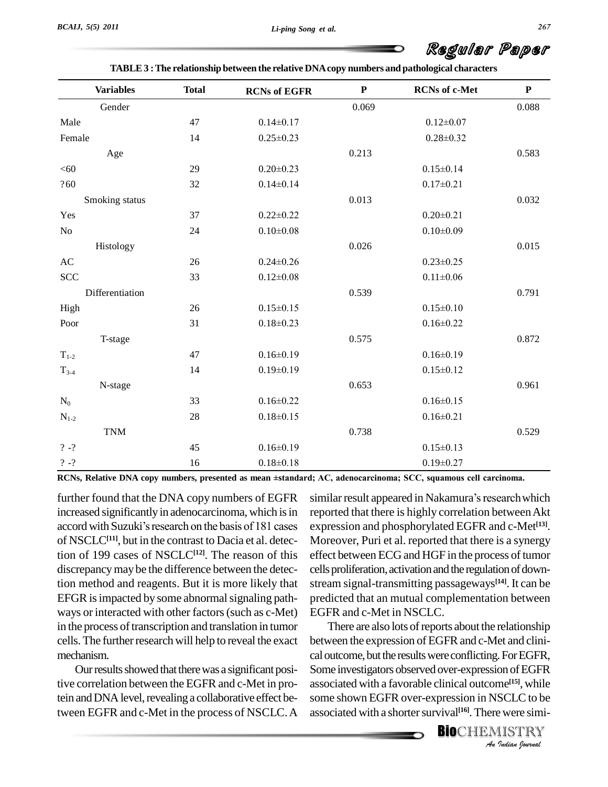# Regular Paper

| TABLE 3 : The relationship between the relative DNA copy numbers and pathological characters |  |
|----------------------------------------------------------------------------------------------|--|
|----------------------------------------------------------------------------------------------|--|

| <b>Variables</b>          | <b>Total</b> | <b>RCNs of EGFR</b> | ${\bf P}$ | <b>RCNs</b> of c-Met | ${\bf P}$ |
|---------------------------|--------------|---------------------|-----------|----------------------|-----------|
| Gender                    |              |                     | 0.069     |                      | 0.088     |
| Male                      | 47           | $0.14 \pm 0.17$     |           | $0.12 \pm 0.07$      |           |
| Female                    | 14           | $0.25 \pm 0.23$     |           | $0.28 \pm 0.32$      |           |
| Age                       |              |                     | 0.213     |                      | 0.583     |
| < 60                      | 29           | $0.20 \pm 0.23$     |           | $0.15 \pm 0.14$      |           |
| ?60                       | 32           | $0.14 \pm 0.14$     |           | $0.17 \pm 0.21$      |           |
| Smoking status            |              |                     | 0.013     |                      | 0.032     |
| Yes                       | 37           | $0.22 \pm 0.22$     |           | $0.20 \pm 0.21$      |           |
| No                        | 24           | $0.10 \pm 0.08$     |           | $0.10 \pm 0.09$      |           |
| Histology                 |              |                     | 0.026     |                      | 0.015     |
| AC                        | 26           | $0.24 \pm 0.26$     |           | $0.23 \pm 0.25$      |           |
| <b>SCC</b>                | 33           | $0.12 \pm 0.08$     |           | $0.11 \pm 0.06$      |           |
| Differentiation           |              |                     | 0.539     |                      | 0.791     |
| High                      | 26           | $0.15 \pm 0.15$     |           | $0.15 \pm 0.10$      |           |
| Poor                      | 31           | $0.18 \pm 0.23$     |           | $0.16 \pm 0.22$      |           |
| T-stage                   |              |                     | 0.575     |                      | 0.872     |
| $\mathrm{T}_{1\text{-}2}$ | 47           | $0.16 \pm 0.19$     |           | $0.16 \pm 0.19$      |           |
| $T_{3-4}$                 | 14           | $0.19 \pm 0.19$     |           | $0.15 \pm 0.12$      |           |
| N-stage                   |              |                     | 0.653     |                      | 0.961     |
| $\rm N_0$                 | 33           | $0.16 \pm 0.22$     |           | $0.16 \pm 0.15$      |           |
| $N_{1-2}$                 | 28           | $0.18 \pm 0.15$     |           | $0.16 \pm 0.21$      |           |
| <b>TNM</b>                |              |                     | 0.738     |                      | 0.529     |
| $? - ?$                   | 45           | $0.16 \pm 0.19$     |           | $0.15 \pm 0.13$      |           |
| $? - ?$                   | 16           | $0.18 \pm 0.18$     |           | $0.19 \pm 0.27$      |           |

**RCNs, Relative DNA copy numbers, presented asmean ±standard; AC, adenocarcinoma; SCC, squamous cell carcinoma.**

further found that the DNA copy numbers of EGFR increased significantly in adenocarcinoma, which is in reporte further found that the DNA copy numbers of EGFR simil-<br>increased significantly in adenocarcinoma, which is in repo-<br>accord with Suzuki's research on the basis of 181 cases expr of NSCLC**[11]**, but in the contrast to Dacia et al. detection of 199 cases of NSCLC**[12]**. The reason of this discrepancymaybe the difference between the detection method and reagents. But it is more likely that EFGR is impacted by some abnormal signaling pathways or interacted with other factors(such as c-Met) in the process of transcription and translation in tumor cells. The further research will help to reveal the exact mechanism.

Our results showed that there was a significant positive correlation between the EGFR and c-Met in protein and DNA level, revealing a collaborative effect between EGFR and c-Met in the process of NSCLC.A

similar result appeared in Nakamura's research which reported that there is highly correlation between Akt expression and phosphorylated EGFR and c-Met **[13]**. Moreover, Puri et al. reported that there is a synergy effect between ECG and HGF in the process of tumor cells proliferation, activation and the regulation of downstream signal-transmitting passageways **[14]**. It can be predicted that an mutual complementation between EGFR and c-Met in NSCLC.

*An*caloutcome,butthe resultswereconflicting.ForEGFR, *I* to EGFR<br> *Ine<sup>[15]</sup>, while*<br> *SCLC to be*<br> *P* were simi-<br> *I* ISTRY There are also lots of reports about the relationship between the expression of EGFR and c-Met and clini-Some investigators observed over-expression of EGFR associated with a favorable clinical outcome **[15]**, while some shown EGFR over-expression in NSCLC to be associated with a shorter survival<sup>[16]</sup>. There were simi-

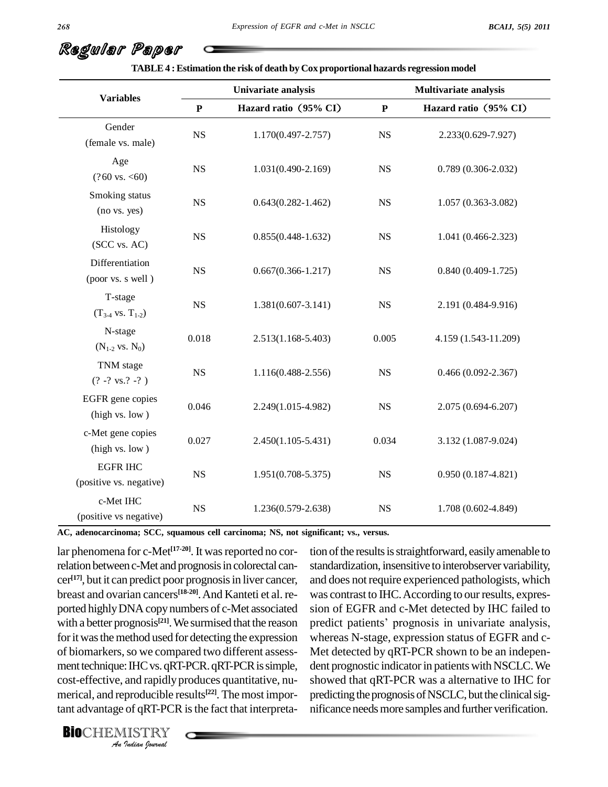| <b>Variables</b>                           |             | Univariate analysis    |             | <b>Multivariate analysis</b> |  |
|--------------------------------------------|-------------|------------------------|-------------|------------------------------|--|
|                                            | $\mathbf P$ | Hazard ratio (95% CI)  | ${\bf P}$   | Hazard ratio (95% CI)        |  |
| Gender<br>(female vs. male)                | $_{\rm NS}$ | 1.170(0.497-2.757)     | <b>NS</b>   | 2.233(0.629-7.927)           |  |
| Age<br>$(?60 \text{ vs. } <60)$            | NS          | 1.031(0.490-2.169)     | $_{\rm NS}$ | $0.789(0.306 - 2.032)$       |  |
| Smoking status<br>(no vs. yes)             | $_{\rm NS}$ | $0.643(0.282 - 1.462)$ | $_{\rm NS}$ | $1.057(0.363 - 3.082)$       |  |
| Histology<br>(SCC vs. AC)                  | $_{\rm NS}$ | $0.855(0.448 - 1.632)$ | $_{\rm NS}$ | 1.041 (0.466-2.323)          |  |
| Differentiation<br>(poor vs. s well)       | $_{\rm NS}$ | $0.667(0.366 - 1.217)$ | <b>NS</b>   | $0.840(0.409-1.725)$         |  |
| T-stage<br>$(T_{34}$ vs. $T_{1-2})$        | $_{\rm NS}$ | $1.381(0.607 - 3.141)$ | <b>NS</b>   | 2.191 (0.484-9.916)          |  |
| N-stage<br>$(N_{1-2}$ vs. $N_0)$           | 0.018       | $2.513(1.168 - 5.403)$ | 0.005       | 4.159 (1.543-11.209)         |  |
| TNM stage<br>$(? -? vs. ? -? )$            | $_{\rm NS}$ | 1.116(0.488-2.556)     | $_{\rm NS}$ | $0.466(0.092 - 2.367)$       |  |
| EGFR gene copies<br>(high vs. low)         | 0.046       | 2.249(1.015-4.982)     | <b>NS</b>   | $2.075(0.694 - 6.207)$       |  |
| c-Met gene copies<br>(high vs. low)        | 0.027       | $2.450(1.105 - 5.431)$ | 0.034       | 3.132 (1.087-9.024)          |  |
| <b>EGFR IHC</b><br>(positive vs. negative) | $_{\rm NS}$ | $1.951(0.708 - 5.375)$ | <b>NS</b>   | $0.950(0.187 - 4.821)$       |  |
| c-Met IHC<br>(positive vs negative)        | $_{\rm NS}$ | 1.236(0.579-2.638)     | $_{\rm NS}$ | 1.708 (0.602-4.849)          |  |

**TABLE4 :Estimation the risk of death by Cox proportional hazards regression model**

**AC, adenocarcinoma; SCC, squamous cell carcinoma; NS, not significant; vs., versus.**

ment technique: IHC vs. qRT-PCR. qRT-PCR is simple, de *Indian*<br> *Indianpidly*<br> *Indian*<br> *INSTRY*<br> *INSTRY*<br> *Indian Sparnal* lar phenomena for c-Met<sup>[17-20]</sup>. It was reported no cor- tio relation between c-Met and prognosis in colorectal cancer<sup>[17]</sup>, but it can predict poor prognosis in liver cancer, an breast and ovarian cancers **[18-20]**.And Kanteti et al. re ported highlyDNA copynumbers of c-Met associated with a better prognosis<sup>[21]</sup>. We surmised that the reason predict for it was the method used for detecting the expression of biomarkers, so we compared two different assesscost-effective, and rapidly produces quantitative, numerical, and reproducible results **[22]**. The most important advantage of qRT-PCR is the fact that interpreta-

tion of the results is straightforward, easily amenable to standardization, insensitive to interobserver variability, and does not require experienced pathologists, which was contrast to IHC. According to our results, expres-<br>sion of EGFR and c-Met detected by IHC failed to<br>predict patients' prognosis in univariate analysis, sion of EGFR and c-Met detected by IHC failed to whereas N-stage, expression status of EGFR and c- Met detected by qRT-PCR shown to be an indepen dent prognostic indicator in patients with NSCLC. We showed that qRT-PCR was a alternative to IHC for predicting the prognosis of NSCLC, but the clinical significance needs more samples and further verification.

Regular Paper

**BIO**CHEMISTRY<br>An Indian Journal